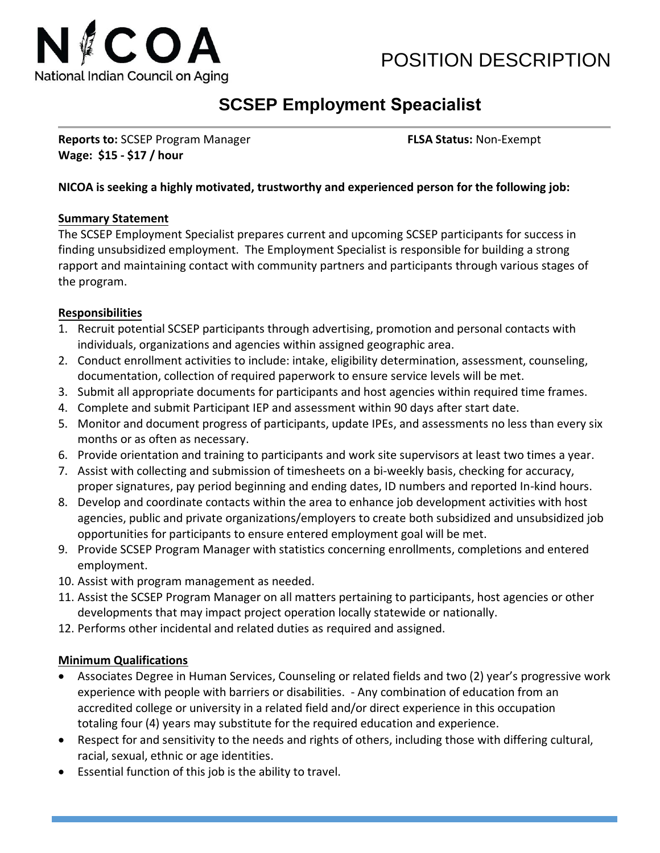

# POSITION DESCRIPTION

## **SCSEP Employment Speacialist**

**Reports to:** SCSEP Program Manager **FLSA Status:** Non-Exempt **Wage: \$15 - \$17 / hour**

#### **NICOA is seeking a highly motivated, trustworthy and experienced person for the following job:**

#### **Summary Statement**

The SCSEP Employment Specialist prepares current and upcoming SCSEP participants for success in finding unsubsidized employment. The Employment Specialist is responsible for building a strong rapport and maintaining contact with community partners and participants through various stages of the program.

#### **Responsibilities**

- 1. Recruit potential SCSEP participants through advertising, promotion and personal contacts with individuals, organizations and agencies within assigned geographic area.
- 2. Conduct enrollment activities to include: intake, eligibility determination, assessment, counseling, documentation, collection of required paperwork to ensure service levels will be met.
- 3. Submit all appropriate documents for participants and host agencies within required time frames.
- 4. Complete and submit Participant IEP and assessment within 90 days after start date.
- 5. Monitor and document progress of participants, update IPEs, and assessments no less than every six months or as often as necessary.
- 6. Provide orientation and training to participants and work site supervisors at least two times a year.
- 7. Assist with collecting and submission of timesheets on a bi-weekly basis, checking for accuracy, proper signatures, pay period beginning and ending dates, ID numbers and reported In-kind hours.
- 8. Develop and coordinate contacts within the area to enhance job development activities with host agencies, public and private organizations/employers to create both subsidized and unsubsidized job opportunities for participants to ensure entered employment goal will be met.
- 9. Provide SCSEP Program Manager with statistics concerning enrollments, completions and entered employment.
- 10. Assist with program management as needed.
- 11. Assist the SCSEP Program Manager on all matters pertaining to participants, host agencies or other developments that may impact project operation locally statewide or nationally.
- 12. Performs other incidental and related duties as required and assigned.

#### **Minimum Qualifications**

- Associates Degree in Human Services, Counseling or related fields and two (2) year's progressive work experience with people with barriers or disabilities. - Any combination of education from an accredited college or university in a related field and/or direct experience in this occupation totaling four (4) years may substitute for the required education and experience.
- Respect for and sensitivity to the needs and rights of others, including those with differing cultural, racial, sexual, ethnic or age identities.
- Essential function of this job is the ability to travel.